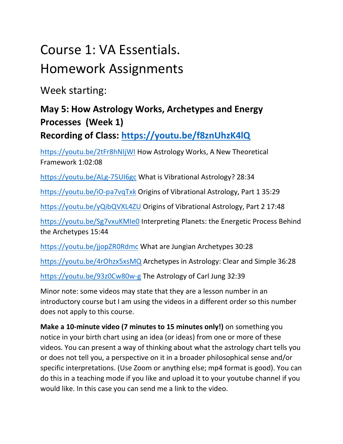# Course 1: VA Essentials.

### Homework Assignments

Week starting:

#### May 5: How Astrology Works, Archetypes and Energy Processes (Week 1)

Recording of Class: https://youtu.be/f8znUhzK4lQ

https://youtu.be/2tFr8hNIjWI How Astrology Works, A New Theoretical Framework 1:02:08

https://youtu.be/ALg-75UI6gc What is Vibrational Astrology? 28:34

https://youtu.be/iO-pa7vqTxk Origins of Vibrational Astrology, Part 1 35:29

https://youtu.be/yQibQVXL4ZU Origins of Vibrational Astrology, Part 2 17:48

https://youtu.be/Sg7vxuKMIe0 Interpreting Planets: the Energetic Process Behind the Archetypes 15:44

https://youtu.be/jjopZR0Rdmc What are Jungian Archetypes 30:28

https://youtu.be/4rOhzx5xsMQ Archetypes in Astrology: Clear and Simple 36:28

https://youtu.be/93z0Cw80w-g The Astrology of Carl Jung 32:39

Minor note: some videos may state that they are a lesson number in an introductory course but I am using the videos in a different order so this number does not apply to this course.

Make a 10-minute video (7 minutes to 15 minutes only!) on something you notice in your birth chart using an idea (or ideas) from one or more of these videos. You can present a way of thinking about what the astrology chart tells you or does not tell you, a perspective on it in a broader philosophical sense and/or specific interpretations. (Use Zoom or anything else; mp4 format is good). You can do this in a teaching mode if you like and upload it to your youtube channel if you would like. In this case you can send me a link to the video.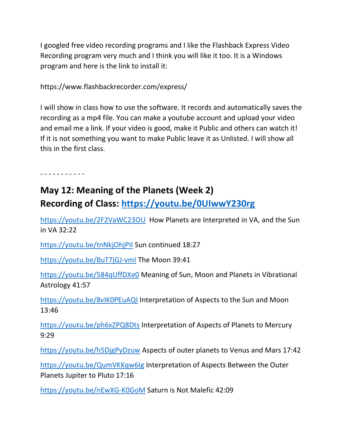I googled free video recording programs and I like the Flashback Express Video Recording program very much and I think you will like it too. It is a Windows program and here is the link to install it:

https://www.flashbackrecorder.com/express/

I will show in class how to use the software. It records and automatically saves the recording as a mp4 file. You can make a youtube account and upload your video and email me a link. If your video is good, make it Public and others can watch it! If it is not something you want to make Public leave it as Unlisted. I will show all this in the first class.

- - - - - - - - - - -

#### May 12: Meaning of the Planets (Week 2) Recording of Class: https://youtu.be/0UIwwY230rg

https://youtu.be/2F2VaWC23OU How Planets are Interpreted in VA, and the Sun in VA 32:22

https://youtu.be/tnNkjOhjPII Sun continued 18:27

https://youtu.be/BuT7jGJ-vmI The Moon 39:41

https://youtu.be/584qUffDXe0 Meaning of Sun, Moon and Planets in Vibrational Astrology 41:57

https://youtu.be/8vIK0PEuAQI Interpretation of Aspects to the Sun and Moon 13:46

https://youtu.be/ph6xZPQ8Dts Interpretation of Aspects of Planets to Mercury 9:29

https://youtu.be/h5DjgPyDzuw Aspects of outer planets to Venus and Mars 17:42

https://youtu.be/QumVKKqw6Ig Interpretation of Aspects Between the Outer Planets Jupiter to Pluto 17:16

https://youtu.be/nEwXG-K0GoM Saturn is Not Malefic 42:09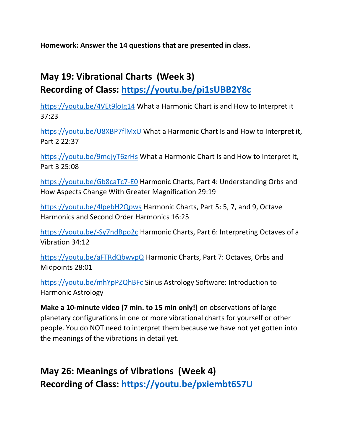Homework: Answer the 14 questions that are presented in class.

#### May 19: Vibrational Charts (Week 3)

Recording of Class: https://youtu.be/pi1sUBB2Y8c

https://youtu.be/4VEt9loIg14 What a Harmonic Chart is and How to Interpret it 37:23

https://youtu.be/U8XBP7flMxU What a Harmonic Chart Is and How to Interpret it, Part 2 22:37

https://youtu.be/9mqjyT6zrHs What a Harmonic Chart Is and How to Interpret it, Part 3 25:08

https://youtu.be/Gb8caTc7-E0 Harmonic Charts, Part 4: Understanding Orbs and How Aspects Change With Greater Magnification 29:19

https://youtu.be/4IpebH2Qpws Harmonic Charts, Part 5: 5, 7, and 9, Octave Harmonics and Second Order Harmonics 16:25

https://youtu.be/-Sy7ndBpo2c Harmonic Charts, Part 6: Interpreting Octaves of a Vibration 34:12

https://youtu.be/aFTRdQbwvpQ Harmonic Charts, Part 7: Octaves, Orbs and Midpoints 28:01

https://youtu.be/mhYpPZQhBFc Sirius Astrology Software: Introduction to Harmonic Astrology

Make a 10-minute video (7 min. to 15 min only!) on observations of large planetary configurations in one or more vibrational charts for yourself or other people. You do NOT need to interpret them because we have not yet gotten into the meanings of the vibrations in detail yet.

May 26: Meanings of Vibrations (Week 4) Recording of Class: https://youtu.be/pxiembt6S7U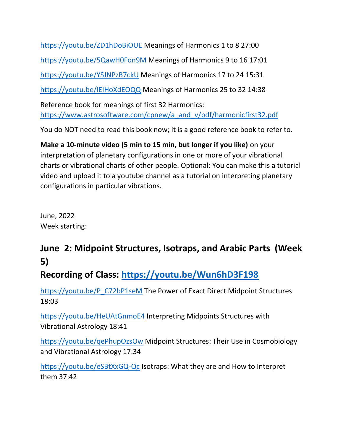https://youtu.be/ZD1hDoBiOUE Meanings of Harmonics 1 to 8 27:00 https://youtu.be/5QawH0Fon9M Meanings of Harmonics 9 to 16 17:01 https://youtu.be/YSJNPzB7ckU Meanings of Harmonics 17 to 24 15:31 https://youtu.be/lEIHoXdEOQQ Meanings of Harmonics 25 to 32 14:38 Reference book for meanings of first 32 Harmonics: https://www.astrosoftware.com/cpnew/a\_and\_v/pdf/harmonicfirst32.pdf

You do NOT need to read this book now; it is a good reference book to refer to.

Make a 10-minute video (5 min to 15 min, but longer if you like) on your interpretation of planetary configurations in one or more of your vibrational charts or vibrational charts of other people. Optional: You can make this a tutorial video and upload it to a youtube channel as a tutorial on interpreting planetary configurations in particular vibrations.

June, 2022 Week starting:

#### June 2: Midpoint Structures, Isotraps, and Arabic Parts (Week 5)

#### Recording of Class: https://youtu.be/Wun6hD3F198

https://youtu.be/P\_C72bP1seM The Power of Exact Direct Midpoint Structures 18:03

https://youtu.be/HeUAtGnmoE4 Interpreting Midpoints Structures with Vibrational Astrology 18:41

https://youtu.be/qePhupOzsOw Midpoint Structures: Their Use in Cosmobiology and Vibrational Astrology 17:34

https://youtu.be/eSBtXxGQ-Qc Isotraps: What they are and How to Interpret them 37:42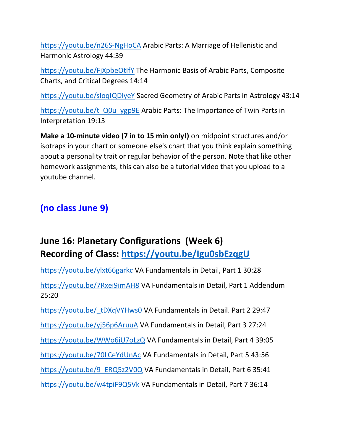https://youtu.be/n26S-NgHoCA Arabic Parts: A Marriage of Hellenistic and Harmonic Astrology 44:39

https://youtu.be/FjXpbeOtIfY The Harmonic Basis of Arabic Parts, Composite Charts, and Critical Degrees 14:14

https://youtu.be/sloqIQDlyeY Sacred Geometry of Arabic Parts in Astrology 43:14

https://youtu.be/t\_Q0u\_ygp9E Arabic Parts: The Importance of Twin Parts in Interpretation 19:13

Make a 10-minute video (7 in to 15 min only!) on midpoint structures and/or isotraps in your chart or someone else's chart that you think explain something about a personality trait or regular behavior of the person. Note that like other homework assignments, this can also be a tutorial video that you upload to a youtube channel.

#### (no class June 9)

#### June 16: Planetary Configurations (Week 6) Recording of Class: https://youtu.be/Igu0sbEzqgU

https://youtu.be/ylxt66garkc VA Fundamentals in Detail, Part 1 30:28

https://youtu.be/7Rxei9imAH8 VA Fundamentals in Detail, Part 1 Addendum 25:20

https://youtu.be/\_tDXqVYHws0 VA Fundamentals in Detail. Part 2 29:47

https://youtu.be/yj56p6AruuA VA Fundamentals in Detail, Part 3 27:24

https://youtu.be/WWo6iU7oLzQ VA Fundamentals in Detail, Part 4 39:05

https://youtu.be/70LCeYdUnAc VA Fundamentals in Detail, Part 5 43:56

https://youtu.be/9\_ERQ5z2V0Q VA Fundamentals in Detail, Part 6 35:41

https://youtu.be/w4tpiF9Q5Vk VA Fundamentals in Detail, Part 7 36:14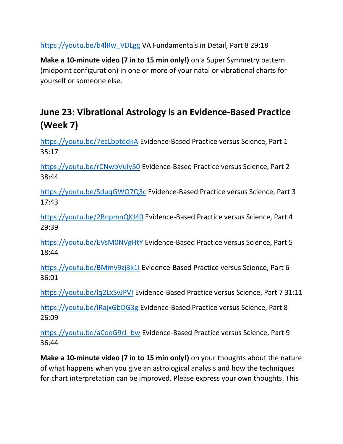https://youtu.be/b4lRw\_VDLgg VA Fundamentals in Detail, Part 8 29:18

Make a 10-minute video (7 in to 15 min only!) on a Super Symmetry pattern (midpoint configuration) in one or more of your natal or vibrational charts for yourself or someone else.

#### June 23: Vibrational Astrology is an Evidence-Based Practice (Week 7)

https://youtu.be/7ecLbptddkA Evidence-Based Practice versus Science, Part 1 35:17

https://youtu.be/rCNwbVuly50 Evidence-Based Practice versus Science, Part 2 38:44

https://youtu.be/SduqGWO7Q3c Evidence-Based Practice versus Science, Part 3 17:43

https://youtu.be/2BnpmnQKJ40 Evidence-Based Practice versus Science, Part 4 29:39

https://youtu.be/EVsM0NVgHtY Evidence-Based Practice versus Science, Part 5 18:44

https://youtu.be/BMmv9zj3k1I Evidence-Based Practice versus Science, Part 6 36:01

https://youtu.be/lq2LxSvJPVI Evidence-Based Practice versus Science, Part 7 31:11

https://youtu.be/IRajxGbDG3g Evidence-Based Practice versus Science, Part 8 26:09

https://youtu.be/aCoeG9rJ\_bw Evidence-Based Practice versus Science, Part 9 36:44

Make a 10-minute video (7 in to 15 min only!) on your thoughts about the nature of what happens when you give an astrological analysis and how the techniques for chart interpretation can be improved. Please express your own thoughts. This